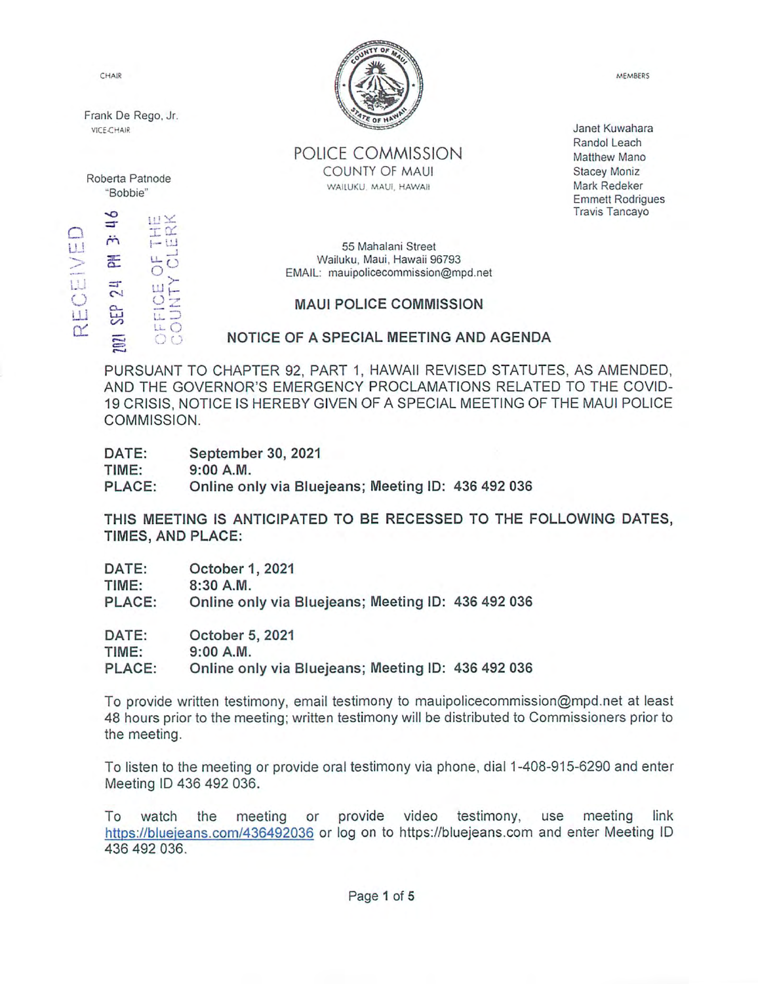Frank De Rego, Jr.<br>vice-chair

●o **ILI**X o. UJ  $E_{\odot}$ 24<br>CE I U uu



POLICE COMMISSION Roberta Patnode COUNTY OF MAUI WAILUKU, MAUI, HAWAII "Bobbie"

Janet Kuwahara Randoi Leach Matthew Mano Stacey Moniz Mark Redeker Emmett Rodrigues Travis Tancayo

 $\begin{array}{ccc}\n\bullet & \bullet & \bullet & \bullet \\
\uparrow & \bullet & \bullet & \bullet \\
\uparrow & \bullet & \bullet & \bullet\n\end{array}$ 55 Mahalani Street<br>  $\begin{array}{ccc}\n\bullet & \bullet & \bullet & \bullet \\
\downarrow & \bullet & \bullet & \bullet \\
\downarrow & \bullet & \bullet & \bullet\n\end{array}$ Wailuku, Maui, Hawaii 96793 EMAIL: mauipolicecommission@mpd.net

# $\mathbb{G} \times \mathbb{G}$  MAUI POLICE COMMISSION

 $\overline{E}$  ,  $\overline{C}$  ,  $\overline{C}$  ,  $\overline{C}$  ,  $\overline{C}$  ,  $\overline{C}$  ,  $\overline{C}$  ,  $\overline{C}$  ,  $\overline{C}$  ,  $\overline{C}$  ,  $\overline{C}$  ,  $\overline{C}$  ,  $\overline{C}$  ,  $\overline{C}$  ,  $\overline{C}$  ,  $\overline{C}$  ,  $\overline{C}$  ,  $\overline{C}$  ,  $\overline{C}$  ,  $\overline{C}$  ,

PURSUANT TO CHAPTER 92, PART 1, HAWAII REVISED STATUTES, AS AMENDED, AND THE GOVERNOR'S EMERGENCY PROCLAMATIONS RELATED TO THE COVID-19 CRISIS, NOTICE IS HEREBY GIVEN OF A SPECIAL MEETING OF THE MAUI POLICE COMMISSION.

| DATE:  | September 30, 2021                                 |  |
|--------|----------------------------------------------------|--|
| TIME:  | 9:00 A.M.                                          |  |
| PLACE: | Online only via Bluejeans; Meeting ID: 436 492 036 |  |

THIS MEETING IS ANTICIPATED TO BE RECESSED TO THE FOLLOWING DATES, TIMES, AND PLACE:

| DATE:  | October 1, 2021                                    |  |
|--------|----------------------------------------------------|--|
| TIME:  | $8:30$ A.M.                                        |  |
| PLACE: | Online only via Bluejeans; Meeting ID: 436 492 036 |  |
| DATE:  | October 5, 2021                                    |  |
| TIME:  | 9:00 A.M.                                          |  |

PLACE: Online only via Bluejeans; Meeting ID: 436 492 036

To provide written testimony, email testimony to mauipolicecommission@mpd.net at least 48 hours prior to the meeting: written testimony will be distributed to Commissioners prior to the meeting.

To listen to the meeting or provide oral testimony via phone, dial 1-408-915-6290 and enter Meeting ID 436 492 036.

To watch the meeting or provide video testimony, use meeting link https://bluejeans.com/436492036 or log on to https://bluejeans.com and enter Meeting ID 436 492 036.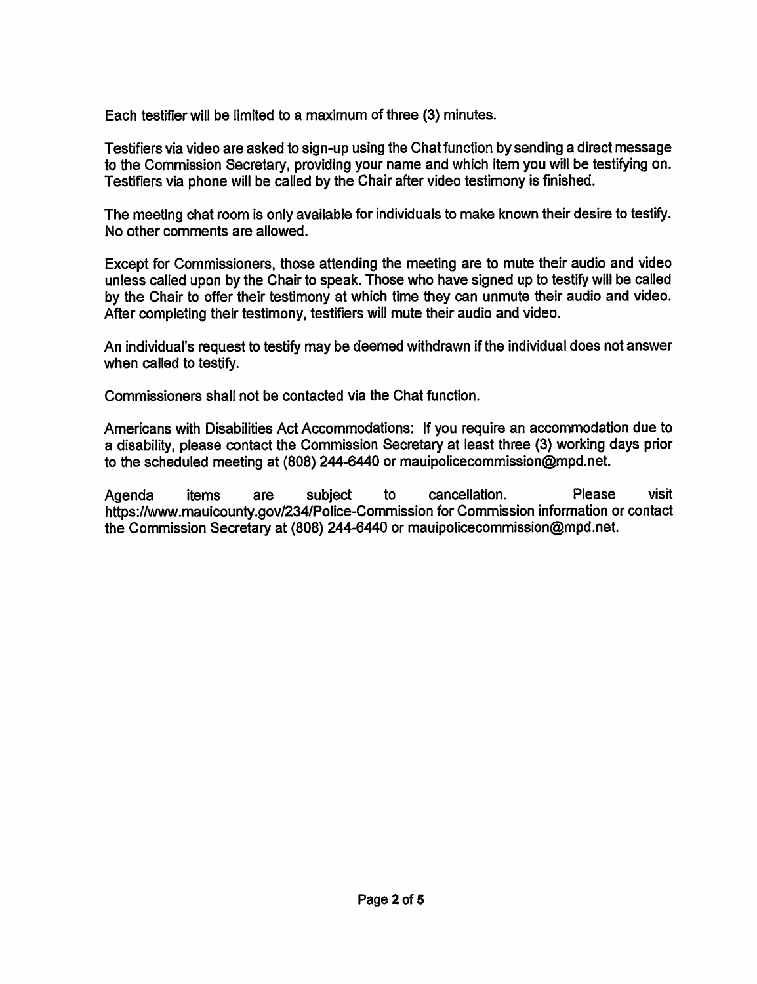Each testifier will be limited to a maximum of three (3) minutes.

Testifiers via video are asked to sign-up using the Chat function by sending a direct message to the Commission Secretary, providing your name and which item you will be testifying on. Testifiers via phone will be called by the Chair after video testimony is finished.

The meeting chat room is only available for individuals to make known their desire to testify. No other comments are allowed.

Except for Commissioners, those attending the meeting are to mute their audio and video unless called upon by the Chair to speak. Those who have signed up to testify will be called by the Chair to offer their testimony at which time they can unmute their audio and video. After completing their testimony, testifiers will mute their audio and video.

An individual's request to testify may be deemed withdrawn if the individual does not answer when called to testify.

Commissioners shall not be contacted via the Chat function.

Americans with Disabilities Act Accommodations: If you require an accommodation due to a disability, please contact the Commission Secretary at least three (3) working days prior to the scheduled meeting at (808) 244-6440 or mauipolice commission@mpd.net.

Agenda items are subject to cancellation. Please visit https://www.mauicounty.gov/234/Police-Commission for Commission information or contact the Commission Secretary at (808) 244-6440 or mauipolicecommission@mpd.net. items are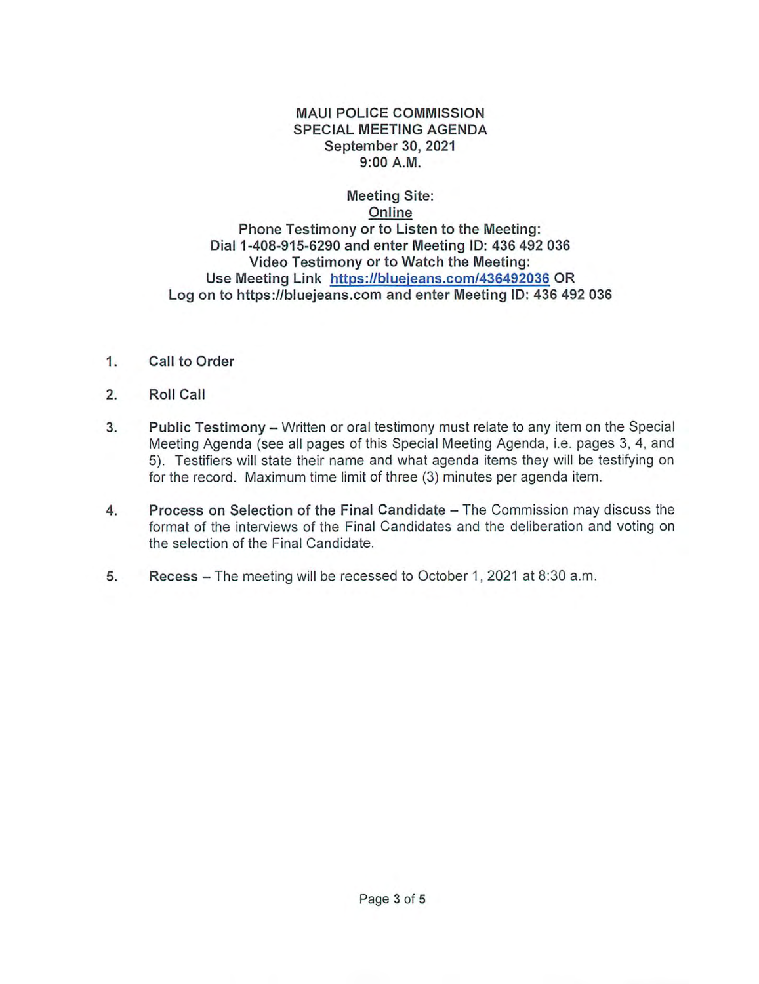#### MAUI POLICE COMMISSION SPECIAL MEETING AGENDA September 30, 2021 9:00 A.M.

## Meeting Site: Online Phone Testimony or to Listen to the Meeting: Dial 1-408-915-6290 and enter Meeting ID: 436 492 036 Video Testimony or to Watch the Meeting: Use Meeting Link [https://blueieans.com/436492Q36](https://bluejeans.com/436492036) OR Log on to https://bluejeans.com and enter Meeting ID: 436 492 036

- 1. Call to Order
- 2. Roll Call
- Public Testimony Written or oral testimony must relate to any item on the Special Meeting Agenda {see all pages of this Special Meeting Agenda, i.e. pages 3, 4, and 5). Testifiers will state their name and what agenda items they will be testifying on for the record. Maximum time limit of three (3) minutes per agenda item. 3.
- Process on Selection of the Final Candidate The Commission may discuss the format of the interviews of the Final Candidates and the deliberation and voting on the selection of the Final Candidate. 4.
- 5. Recess The meeting will be recessed to October 1, 2021 at 8:30 a.m.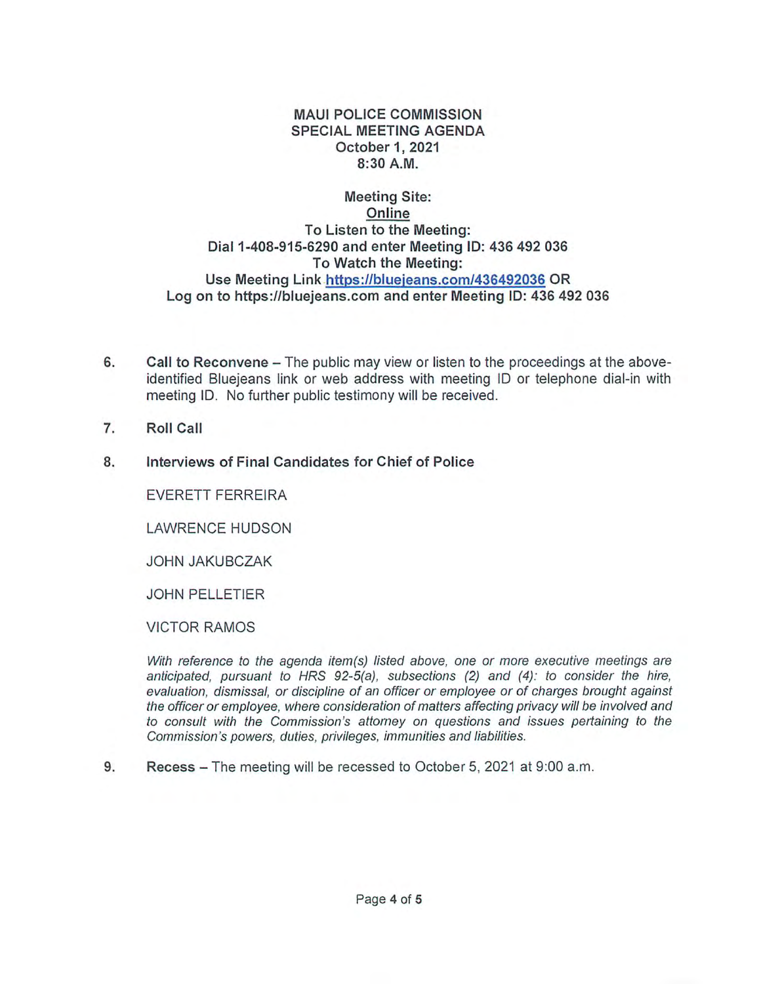#### MAUI POLICE COMMISSION SPECIAL MEETING AGENDA October 1,2021 8:30 A.M.

## Meeting Site; Online To Listen to the Meeting: Dial 1-408-915-6290 and enter Meeting ID; 436 492 036 To Watch the Meeting: Use Meeting Link [https://blueieans.com/436492Q36](https://bluejeans.com/436492036) OR Log on to https://biuejeans.com and enter Meeting ID; 436 492 036

- Call to Reconvene The public may view or listen to the proceedings at the aboveidentified Bluejeans link or web address with meeting ID or telephone dial-in with meeting ID. No further public testimony will be received. 6.
- 7. Roll Call
- 8. Interviews of Final Candidates for Chief of Police

EVERETT FERREIRA

LAWRENCE HUDSON

JOHNJAKUBCZAK

JOHN PELLETIER

#### VICTOR RAMOS

With reference to the agenda item(s) listed above, one or more executive meetings are anticipated, pursuant to HRS 92-5(a), subsections (2) and (4): to consider the hire, evaluation, dismissal, or discipline of an officer or employee or of charges brought against the officer or employee, where consideration of matters affecting privacy will be involved and to consult with the Commission's attorney on questions and issues pertaining to the Commission's powers, duties, privileges, immunities and liabilities.

9. Recess – The meeting will be recessed to October 5, 2021 at 9:00 a.m.